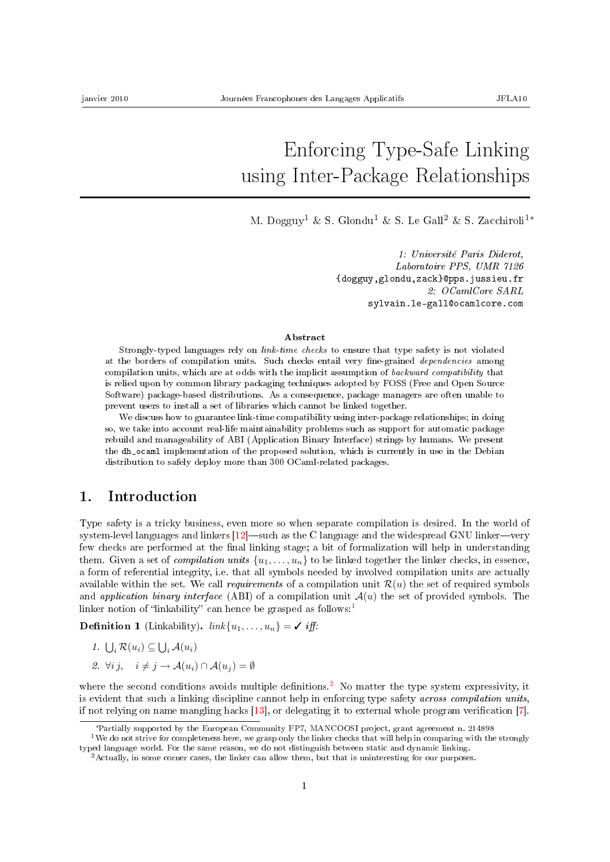# Enforcing Type-Safe Linking using Inter-Package Relationships

M. Dogguy<sup>1</sup> & S. Glondu<sup>1</sup> & S. Le Gall<sup>2</sup> & S. Zacchiroli<sup>1</sup><sup>\*</sup>

1: Université Paris Diderot, Laboratoire PPS, UMR 7126 {dogguy,glondu,zack}@pps.jussieu.fr 2: OCamlCore SARL sylvain.le-gall@ocamlcore.com

#### Abstract

Strongly-typed languages rely on *link-time checks* to ensure that type safety is not violated at the borders of compilation units. Such checks entail very fine-grained *dependencies* among compilation units, which are at odds with the implicit assumption of backward compatibility that is relied upon by common library packaging techniques adopted by FOSS (Free and Open Source Software) package-based distributions. As a consequence, package managers are often unable to prevent users to install a set of libraries which cannot be linked together.

We discuss how to guarantee link-time compatibility using inter-package relationships; in doing so, we take into account real-life maintainability problems such as support for automatic package rebuild and manageability of ABI (Application Binary Interface) strings by humans. We present the dh\_ocaml implementation of the proposed solution, which is currently in use in the Debian distribution to safely deploy more than 300 OCaml-related packages.

#### 1. Introduction

Type safety is a tricky business, even more so when separate compilation is desired. In the world of system-level languages and linkers  $[12]$  such as the C language and the widespread GNU linker-very few checks are performed at the final linking stage; a bit of formalization will help in understanding them. Given a set of *compilation units*  $\{u_1, \ldots, u_n\}$  to be linked together the linker checks, in essence, a form of referential integrity, i.e. that all symbols needed by involved compilation units are actually available within the set. We call requirements of a compilation unit  $\mathcal{R}(u)$  the set of required symbols and application binary interface (ABI) of a compilation unit  $\mathcal{A}(u)$  the set of provided symbols. The linker notion of "linkability" can hence be grasped as follows:<sup>[1](#page-0-0)</sup>

<span id="page-0-2"></span>**Definition 1** (Linkability).  $link\{u_1, \ldots, u_n\} = \checkmark$  iff.

- 1.  $\bigcup_i \mathcal{R}(u_i) \subseteq \bigcup_i \mathcal{A}(u_i)$
- 2.  $\forall i \, j, \quad i \neq j \rightarrow \mathcal{A}(u_i) \cap \mathcal{A}(u_j) = \emptyset$

where the second conditions avoids multiple definitions.<sup>[2](#page-0-1)</sup> No matter the type system expressivity, it is evident that such a linking discipline cannot help in enforcing type safety across compilation units, if not relying on name mangling hacks  $[13]$ , or delegating it to external whole program verification  $[7]$ .

<span id="page-0-0"></span><sup>∗</sup>Partially supported by the European Community FP7, MANCOOSI project, grant agreement n. 214898

<sup>&</sup>lt;sup>1</sup>We do not strive for completeness here, we grasp only the linker checks that will help in comparing with the strongly typed language world. For the same reason, we do not distinguish between static and dynamic linking.

<span id="page-0-1"></span><sup>2</sup>Actually, in some corner cases, the linker can allow them, but that is uninteresting for our purposes.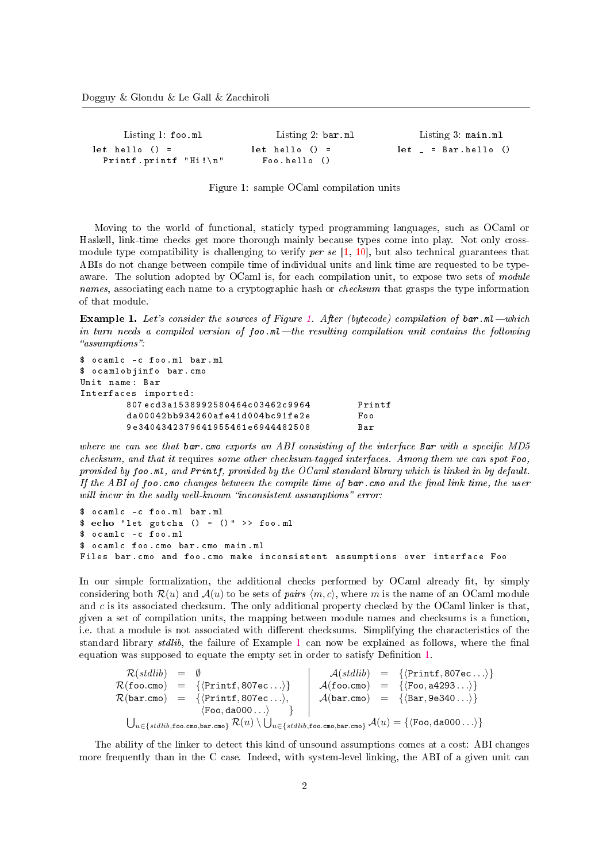| $let$ hello $() =$ |                                                                                                   |
|--------------------|---------------------------------------------------------------------------------------------------|
|                    | Listing 3: main.ml<br>Listing 2: bar.ml<br>$let$ $=$ $Bar.$ $hello$ $()$<br>$\text{Foo.hello}$ () |

<span id="page-1-0"></span>Figure 1: sample OCaml compilation units

Moving to the world of functional, staticly typed programming languages, such as OCaml or Haskell, link-time checks get more thorough mainly because types come into play. Not only crossmodule type compatibility is challenging to verify *per se*  $[1, 10]$  $[1, 10]$  $[1, 10]$ , but also technical guarantees that ABIs do not change between compile time of individual units and link time are requested to be typeaware. The solution adopted by OCaml is, for each compilation unit, to expose two sets of module names, associating each name to a cryptographic hash or *checksum* that grasps the type information of that module.

<span id="page-1-1"></span>**Example [1.](#page-1-0)** Let's consider the sources of Figure 1. After (bytecode) compilation of bar.ml—which in turn needs a compiled version of  $f \circ \circ \cdot m$  the resulting compilation unit contains the following "assumptions":

```
$ ocamlc -c foo . ml bar . ml
$ ocamlobjinfo bar . cmo
Unit name : Bar
Interfaces imported :
       807 ecd3a1538992580464c03462c9964 Printf
       da00042bb934260afe41d004bc91fe2e Foo
       9 e3404342379641955461e6944482508 Bar
```
where we can see that  $bar$ .cmo exports an ABI consisting of the interface Bar with a specific MD5 checksum, and that it requires some other checksum-tagged interfaces. Among them we can spot Foo, provided by foo.ml, and Printf, provided by the OCaml standard library which is linked in by default. If the ABI of foo. cmo changes between the compile time of  $bar$  cmo and the final link time, the user will incur in the sadly well-known "inconsistent assumptions" error:

```
$ ocamlc -c foo . ml bar . ml
\text{\$ echo "let gotcha () = () " >> foo.m1}$ ocamlc -c foo . ml
$ ocamlc foo . cmo bar . cmo main . ml
Files bar . cmo and foo . cmo make inconsistent assumptions over interface Foo
```
In our simple formalization, the additional checks performed by OCaml already fit, by simply considering both  $\mathcal{R}(u)$  and  $\mathcal{A}(u)$  to be sets of pairs  $\langle m, c \rangle$ , where m is the name of an OCaml module and  $c$  is its associated checksum. The only additional property checked by the OCaml linker is that, given a set of compilation units, the mapping between module names and checksums is a function, i.e. that a module is not associated with different checksums. Simplifying the characteristics of the standard library stdlib, the failure of Example [1](#page-1-1) can now be explained as follows, where the final equation was supposed to equate the empty set in order to satisfy Definition [1.](#page-0-2)

$$
\mathcal{R}(stdlib) = \emptyset \qquad \mathcal{A}(stdlib) = {\langle \text{Printf}, 807ec... \rangle} \qquad \mathcal{A}(stdlib) = {\langle \text{Printf}, 807ec... \rangle} \qquad \mathcal{A}(\text{foo.como}) = {\langle \text{Printf}, 807ec... \rangle} \qquad \mathcal{A}(\text{foo.como}) = {\langle \text{foo}, a4293... \rangle} \qquad \mathcal{A}(\text{0o.como}) = {\langle \text{Foo}, a4293... \rangle} \qquad \mathcal{A}(\text{bar.como}) = {\langle \text{Bar}, 9e340... \rangle} \qquad \qquad \mathcal{A}(u) = {\langle \text{Foo}, a4000... \rangle} \qquad \qquad \mathcal{A}(u) = {\langle \text{Foo}, a4000... \rangle}
$$

The ability of the linker to detect this kind of unsound assumptions comes at a cost: ABI changes more frequently than in the C case. Indeed, with system-level linking, the ABI of a given unit can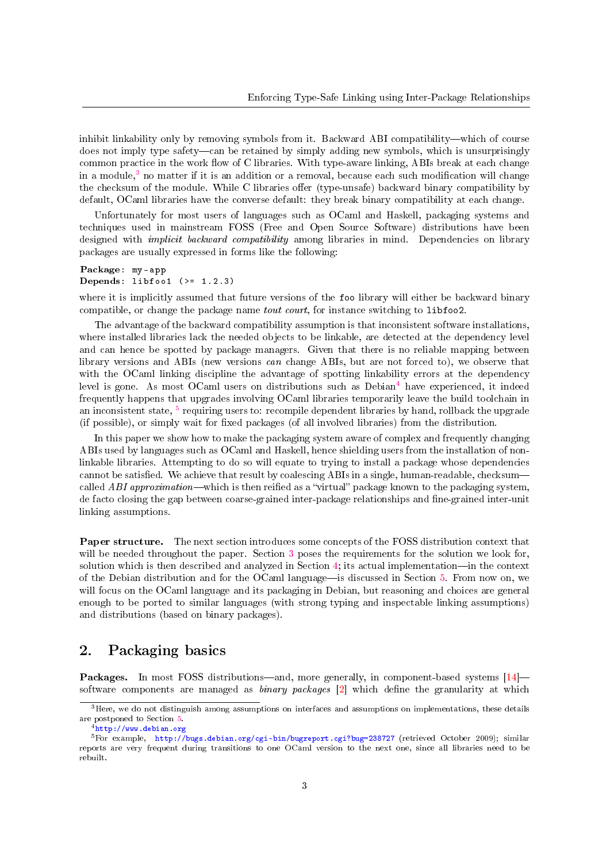inhibit linkability only by removing symbols from it. Backward ABI compatibility—which of course does not imply type safety—can be retained by simply adding new symbols, which is unsurprisingly common practice in the work flow of C libraries. With type-aware linking, ABIs break at each change in a module,<sup>[3](#page-2-0)</sup> no matter if it is an addition or a removal, because each such modification will change the checksum of the module. While C libraries offer (type-unsafe) backward binary compatibility by default, OCaml libraries have the converse default: they break binary compatibility at each change.

Unfortunately for most users of languages such as OCaml and Haskell, packaging systems and techniques used in mainstream FOSS (Free and Open Source Software) distributions have been designed with *implicit backward compatibility* among libraries in mind. Dependencies on library packages are usually expressed in forms like the following:

```
Package: my - app
Depends: libfoo1 (>= 1.2.3)
```
where it is implicitly assumed that future versions of the foo library will either be backward binary compatible, or change the package name *tout court*, for instance switching to libfoo2.

The advantage of the backward compatibility assumption is that inconsistent software installations, where installed libraries lack the needed objects to be linkable, are detected at the dependency level and can hence be spotted by package managers. Given that there is no reliable mapping between library versions and ABIs (new versions can change ABIs, but are not forced to), we observe that with the OCaml linking discipline the advantage of spotting linkability errors at the dependency level is gone. As most OCaml users on distributions such as  $Debian<sup>4</sup>$  $Debian<sup>4</sup>$  $Debian<sup>4</sup>$  have experienced, it indeed frequently happens that upgrades involving OCaml libraries temporarily leave the build toolchain in an inconsistent state, <sup>[5](#page-2-2)</sup> requiring users to: recompile dependent libraries by hand, rollback the upgrade (if possible), or simply wait for fixed packages (of all involved libraries) from the distribution.

In this paper we show how to make the packaging system aware of complex and frequently changing ABIs used by languages such as OCaml and Haskell, hence shielding users from the installation of nonlinkable libraries. Attempting to do so will equate to trying to install a package whose dependencies cannot be satisfied. We achieve that result by coalescing ABIs in a single, human-readable, checksumcalled ABI approximation—which is then reified as a "virtual" package known to the packaging system, de facto closing the gap between coarse-grained inter-package relationships and fine-grained inter-unit linking assumptions.

Paper structure. The next section introduces some concepts of the FOSS distribution context that will be needed throughout the paper. Section [3](#page-5-0) poses the requirements for the solution we look for, solution which is then described and analyzed in Section [4;](#page-7-0) its actual implementation—in the context of the Debian distribution and for the OCaml language—is discussed in Section [5.](#page-9-0) From now on, we will focus on the OCaml language and its packaging in Debian, but reasoning and choices are general enough to be ported to similar languages (with strong typing and inspectable linking assumptions) and distributions (based on binary packages).

## <span id="page-2-3"></span>2. Packaging basics

Packages. In most FOSS distributions—and, more generally, in component-based systems [\[14\]](#page-13-2) software components are managed as *binary packages*  $[2]$  which define the granularity at which

<span id="page-2-0"></span><sup>&</sup>lt;sup>3</sup>Here, we do not distinguish among assumptions on interfaces and assumptions on implementations, these details are postponed to Section [5.](#page-9-0)

<span id="page-2-2"></span><span id="page-2-1"></span> $^4$ <http://www.debian.org>

<sup>5</sup>For example, <http://bugs.debian.org/cgi-bin/bugreport.cgi?bug=238727> (retrieved October 2009); similar reports are very frequent during transitions to one OCaml version to the next one, since all libraries need to be rebuilt.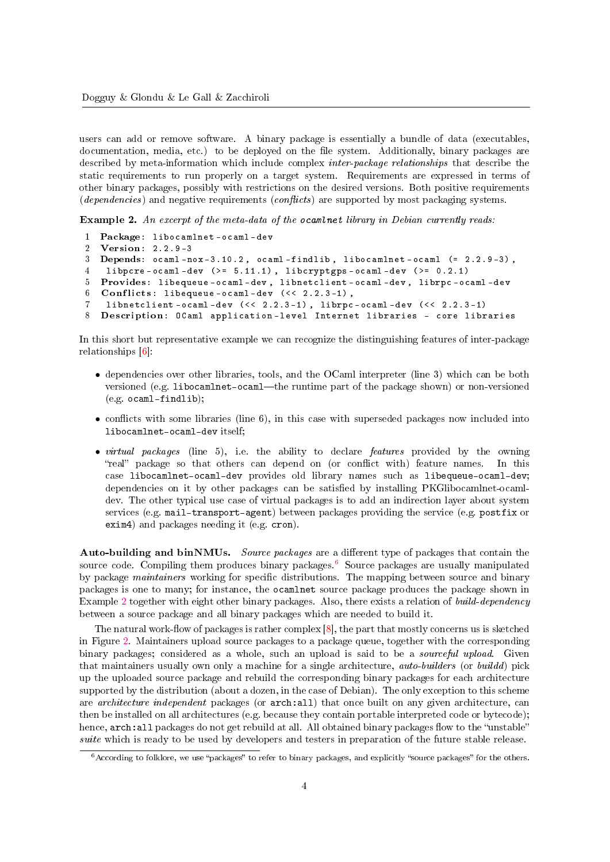users can add or remove software. A binary package is essentially a bundle of data (executables, documentation, media, etc.) to be deployed on the file system. Additionally, binary packages are described by meta-information which include complex inter-package relationships that describe the static requirements to run properly on a target system. Requirements are expressed in terms of other binary packages, possibly with restrictions on the desired versions. Both positive requirements  $(dependencies)$  and negative requirements  $(conflicts)$  are supported by most packaging systems.

<span id="page-3-1"></span>Example 2. An excerpt of the meta-data of the ocamlnet library in Debian currently reads:

```
1 Package: libocamlnet-ocaml-dev<br>2 Version: 2.2.9-3
  2 Version: 2.2.9 -3
3 Depends: ocaml - nox -3.10.2 , ocaml - findlib , libocamlnet - ocaml (= 2.2.9 -3) ,
4 libpcre - ocaml - dev ( >= 5.11.1) , libcryptgps - ocaml - dev ( >= 0.2.1)
5 Provides: libequeue - ocaml - dev , libnetclient - ocaml - dev , librpc - ocaml - dev
6 Conflicts: libequeue-ocaml-dev (< 2.2.3-1),
7 libnetclient - ocaml - dev ( < < 2.2.3 -1) , librpc - ocaml - dev ( < < 2.2.3 -1)
8 Description: OCaml application - level Internet libraries - core libraries
```
In this short but representative example we can recognize the distinguishing features of inter-package relationships [\[6\]](#page-12-4):

- dependencies over other libraries, tools, and the OCaml interpreter (line 3) which can be both versioned (e.g. libocamlnet-ocaml—the runtime part of the package shown) or non-versioned (e.g. ocaml-findlib);
- conflicts with some libraries (line 6), in this case with superseded packages now included into libocamlnet-ocaml-dev itself;
- *virtual packages* (line 5), i.e. the ability to declare *features* provided by the owning "real" package so that others can depend on (or conflict with) feature names. In this case libocamlnet-ocaml-dev provides old library names such as libequeue-ocaml-dev; dependencies on it by other packages can be satisfied by installing PKGlibocamlnet-ocamldev. The other typical use case of virtual packages is to add an indirection layer about system services (e.g. mail-transport-agent) between packages providing the service (e.g. postfix or exim4) and packages needing it (e.g. cron).

Auto-building and binNMUs. Source packages are a different type of packages that contain the source code. Compiling them produces binary packages.<sup>[6](#page-3-0)</sup> Source packages are usually manipulated by package *maintainers* working for specific distributions. The mapping between source and binary packages is one to many; for instance, the ocamlnet source package produces the package shown in Example [2](#page-3-1) together with eight other binary packages. Also, there exists a relation of build-dependency between a source package and all binary packages which are needed to build it.

The natural work-flow of packages is rather complex  $[8]$ , the part that mostly concerns us is sketched in Figure [2.](#page-4-0) Maintainers upload source packages to a package queue, together with the corresponding binary packages; considered as a whole, such an upload is said to be a *sourceful upload*. Given that maintainers usually own only a machine for a single architecture, auto-builders (or buildd) pick up the uploaded source package and rebuild the corresponding binary packages for each architecture supported by the distribution (about a dozen, in the case of Debian). The only exception to this scheme are *architecture independent* packages (or arch:all) that once built on any given architecture, can then be installed on all architectures (e.g. because they contain portable interpreted code or bytecode); hence, arch:all packages do not get rebuild at all. All obtained binary packages flow to the "unstable" suite which is ready to be used by developers and testers in preparation of the future stable release.

<span id="page-3-0"></span> $6$ According to folklore, we use "packages" to refer to binary packages, and explicitly "source packages" for the others.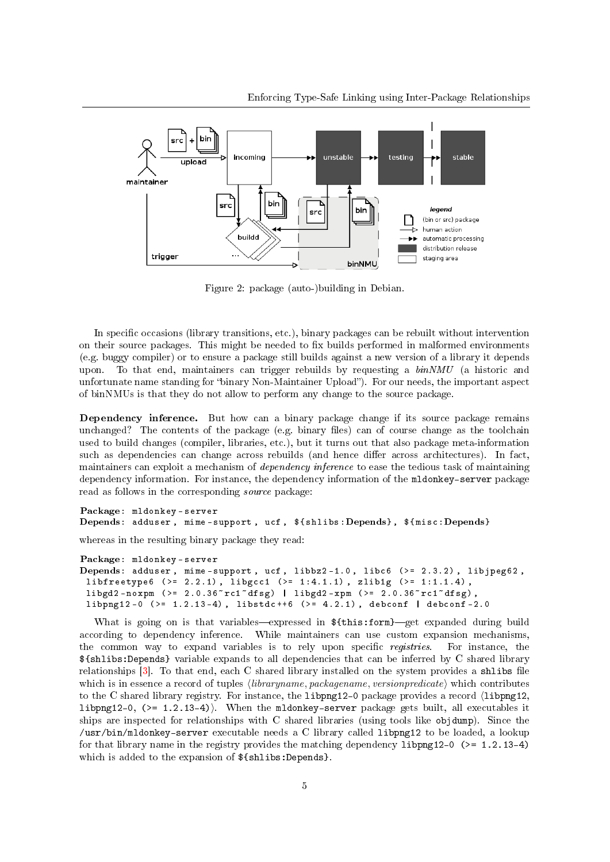

<span id="page-4-0"></span>Figure 2: package (auto-)building in Debian.

In specific occasions (library transitions, etc.), binary packages can be rebuilt without intervention on their source packages. This might be needed to fix builds performed in malformed environments (e.g. buggy compiler) or to ensure a package still builds against a new version of a library it depends upon. To that end, maintainers can trigger rebuilds by requesting a  $binNMU$  (a historic and unfortunate name standing for "binary Non-Maintainer Upload"). For our needs, the important aspect of binNMUs is that they do not allow to perform any change to the source package.

Dependency inference. But how can a binary package change if its source package remains unchanged? The contents of the package  $(e.g.$  binary files) can of course change as the toolchain used to build changes (compiler, libraries, etc.), but it turns out that also package meta-information such as dependencies can change across rebuilds (and hence differ across architectures). In fact, maintainers can exploit a mechanism of *dependency inference* to ease the tedious task of maintaining dependency information. For instance, the dependency information of the mldonkey-server package read as follows in the corresponding source package:

Package: mldonkey - server Depends: adduser, mime-support, ucf,  $f_{shifts}:Depends}$ ,  $f_{mist}:Depends$ 

whereas in the resulting binary package they read:

```
Package: mldonkey - server
Depends: adduser, mime-support, ucf, libbz2-1.0, libc6 (>= 2.3.2), libjpeg62,
 libfreetype6 (> = 2.2.1), libgcc1 (> = 1:4.1.1), zlib1g (> = 1:1.1.4),
 libgd2-noxpm (>= 2.0.36 rc1 dfsg) | libgd2-xpm (>= 2.0.36 rc1 dfsg),
 liphpg12 - 0 (>= 1.2.13-4), libstdc++6 (>= 4.2.1), debconf | debconf-2.0
```
What is going on is that variables—expressed in  $fthis:form$ —get expanded during build according to dependency inference. While maintainers can use custom expansion mechanisms, the common way to expand variables is to rely upon specific *registries*. For instance, the \${shlibs:Depends} variable expands to all dependencies that can be inferred by C shared library relationships  $[3]$ . To that end, each C shared library installed on the system provides a shlibs file which is in essence a record of tuples  $\langle libraryname, packagename, versionpredicate \rangle$  which contributes to the C shared library registry. For instance, the  $\text{libpng12-0}$  package provides a record  $\langle \text{libpng12}, \rangle$ libpng12-0,  $(>= 1.2.13-4)$ . When the mldonkey-server package gets built, all executables it ships are inspected for relationships with C shared libraries (using tools like objdump). Since the /usr/bin/mldonkey-server executable needs a C library called libpng12 to be loaded, a lookup for that library name in the registry provides the matching dependency libpng12-0 ( $>= 1.2.13-4$ ) which is added to the expansion of  $f\shlibs:Depends$ .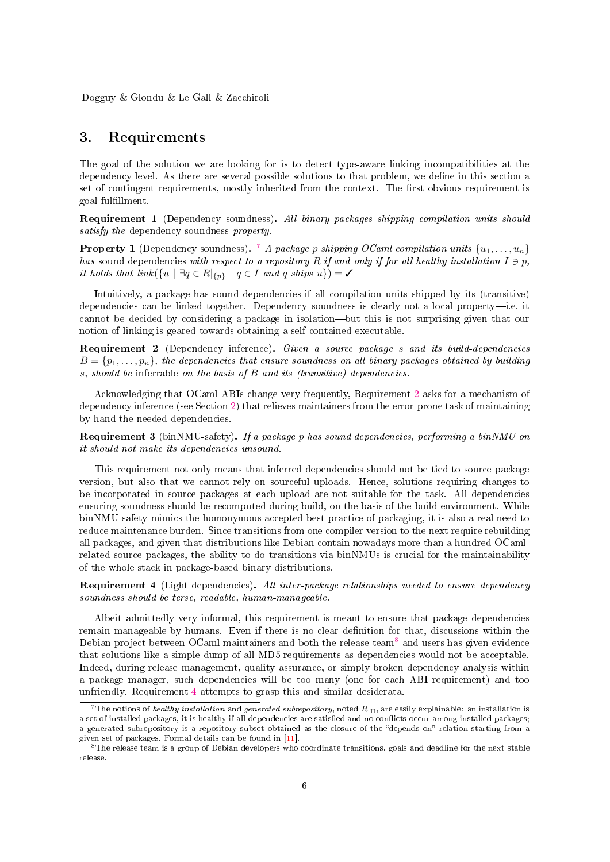#### <span id="page-5-0"></span>3. Requirements

The goal of the solution we are looking for is to detect type-aware linking incompatibilities at the dependency level. As there are several possible solutions to that problem, we define in this section a set of contingent requirements, mostly inherited from the context. The first obvious requirement is goal fulllment.

<span id="page-5-5"></span>Requirement 1 (Dependency soundness). All binary packages shipping compilation units should satisfy the dependency soundness property.

**Property 1** (Dependency soundness). <sup>[7](#page-5-1)</sup> A package p shipping OCaml compilation units  $\{u_1, \ldots, u_n\}$ has sound dependencies with respect to a repository R if and only if for all healthy installation  $I \ni p$ , it holds that  $link({u \mid \exists q \in R|_{\{p\}} \quad q \in I \text{ and } q \text{ ships } u}) = \checkmark$ 

Intuitively, a package has sound dependencies if all compilation units shipped by its (transitive) dependencies can be linked together. Dependency soundness is clearly not a local property-i.e. it cannot be decided by considering a package in isolation—but this is not surprising given that our notion of linking is geared towards obtaining a self-contained executable.

<span id="page-5-2"></span>Requirement 2 (Dependency inference). Given a source package s and its build-dependencies  $B = \{p_1, \ldots, p_n\}$ , the dependencies that ensure soundness on all binary packages obtained by building s, should be inferrable on the basis of B and its (transitive) dependencies.

Acknowledging that OCaml ABIs change very frequently, Requirement [2](#page-5-2) asks for a mechanism of dependency inference (see Section [2\)](#page-2-3) that relieves maintainers from the error-prone task of maintaining by hand the needed dependencies.

<span id="page-5-6"></span>Requirement 3 (binNMU-safety). If a package p has sound dependencies, performing a binNMU on it should not make its dependencies unsound.

This requirement not only means that inferred dependencies should not be tied to source package version, but also that we cannot rely on sourceful uploads. Hence, solutions requiring changes to be incorporated in source packages at each upload are not suitable for the task. All dependencies ensuring soundness should be recomputed during build, on the basis of the build environment. While binNMU-safety mimics the homonymous accepted best-practice of packaging, it is also a real need to reduce maintenance burden. Since transitions from one compiler version to the next require rebuilding all packages, and given that distributions like Debian contain nowadays more than a hundred OCamlrelated source packages, the ability to do transitions via binNMUs is crucial for the maintainability of the whole stack in package-based binary distributions.

<span id="page-5-4"></span>**Requirement 4** (Light dependencies). All inter-package relationships needed to ensure dependency soundness should be terse, readable, human-manageable.

Albeit admittedly very informal, this requirement is meant to ensure that package dependencies remain manageable by humans. Even if there is no clear definition for that, discussions within the Debian project between OCaml maintainers and both the release team<sup>[8](#page-5-3)</sup> and users has given evidence that solutions like a simple dump of all MD5 requirements as dependencies would not be acceptable. Indeed, during release management, quality assurance, or simply broken dependency analysis within a package manager, such dependencies will be too many (one for each ABI requirement) and too unfriendly. Requirement [4](#page-5-4) attempts to grasp this and similar desiderata.

<span id="page-5-1"></span><sup>&</sup>lt;sup>7</sup>The notions of *healthy installation* and *generated subrepository*, noted  $R|_{\Pi}$ , are easily explainable: an installation is a set of installed packages, it is healthy if all dependencies are satisfied and no conflicts occur among installed packages; a generated subrepository is a repository subset obtained as the closure of the "depends on" relation starting from a given set of packages. Formal details can be found in [\[11\]](#page-13-3).

<span id="page-5-3"></span><sup>&</sup>lt;sup>8</sup>The release team is a group of Debian developers who coordinate transitions, goals and deadline for the next stable release.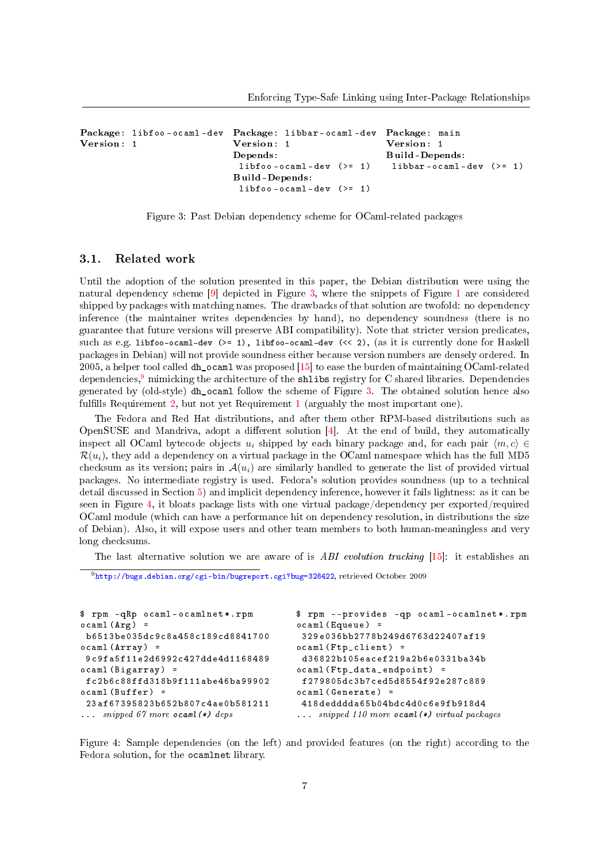```
Package: libfoo - ocaml - dev
Package: libbar - ocaml - dev
Package: main
Version: 1
                                 Version: 1
                                 Depends:
                                  libfoo - ocaml - dev (<math>>= 1</math>)Build-Depends:
                                  libfoo - ocaml - dev (<math>>= 1</math>)Version: 1
                                                                  Build-Depends:
                                                                   libbar - ocaml - dev (>= 1)
```
<span id="page-6-0"></span>Figure 3: Past Debian dependency scheme for OCaml-related packages

#### 3.1. Related work

Until the adoption of the solution presented in this paper, the Debian distribution were using the natural dependency scheme [\[9\]](#page-12-7) depicted in Figure [3,](#page-6-0) where the snippets of Figure [1](#page-1-0) are considered shipped by packages with matching names. The drawbacks of that solution are twofold: no dependency inference (the maintainer writes dependencies by hand), no dependency soundness (there is no guarantee that future versions will preserve ABI compatibility). Note that stricter version predicates, such as e.g. libfoo-ocaml-dev (>= 1), libfoo-ocaml-dev (<< 2), (as it is currently done for Haskell packages in Debian) will not provide soundness either because version numbers are densely ordered. In 2005, a helper tool called dh\_ocaml was proposed [\[15\]](#page-13-4) to ease the burden of maintaining OCaml-related dependencies.<sup>[9](#page-6-1)</sup> mimicking the architecture of the shlibs registry for C shared libraries. Dependencies generated by (old-style) dh\_ocaml follow the scheme of Figure [3.](#page-6-0) The obtained solution hence also fulfills Requirement [2,](#page-5-2) but not yet Requirement [1](#page-5-5) (arguably the most important one).

The Fedora and Red Hat distributions, and after them other RPM-based distributions such as OpenSUSE and Mandriva, adopt a different solution  $[4]$ . At the end of build, they automatically inspect all OCaml bytecode objects  $u_i$  shipped by each binary package and, for each pair  $\langle m, c \rangle \in$  $\mathcal{R}(u_i)$ , they add a dependency on a virtual package in the OCaml namespace which has the full MD5 checksum as its version; pairs in  $\mathcal{A}(u_i)$  are similarly handled to generate the list of provided virtual packages. No intermediate registry is used. Fedora's solution provides soundness (up to a technical detail discussed in Section [5\)](#page-9-0) and implicit dependency inference, however it fails lightness: as it can be seen in Figure [4,](#page-6-2) it bloats package lists with one virtual package/dependency per exported/required OCaml module (which can have a performance hit on dependency resolution, in distributions the size of Debian). Also, it will expose users and other team members to both human-meaningless and very long checksums.

The last alternative solution we are aware of is ABI evolution tracking  $[15]$ : it establishes an

<span id="page-6-1"></span><sup>9</sup>[http://bugs.debian.org/cgi-bin/bugreport.cgi?bug=328422,](http://bugs.debian.org/cgi-bin/bugreport.cgi?bug=328422) retrieved October 2009

```
$ rpm - qRp ocaml - ocamlnet *. rpm
ocaml (Arg) =b6513be035dc9c8a458c189cd8841700
ocam1 (Array) =9 c9fa5f11e2d6992c427dde4d1168489
ocaml (Bigarray) =fc2b6c88ffd318b9f111abe46ba99902
ocaml(Buffer) =23 af67395823b652b807c4ae0b581211
... snipped 67 more ocaml(*) deps
                                         $ rpm -- provides - qp ocaml - ocamlnet *. rpm
                                         ocaml (Equeue) =
                                          329 e036bb2778b249d6763d22407af19
                                         ocaml (Ftp_clien t) =d36822b105eacef219a2b6e0331ba34b
                                         ocaml ( Ftp_data_endpoint ) =
                                          f279805dc3b7ced5d8554f92e287c889
                                         ocaml ( Generate ) =
                                          418 dedddda65b04bdc4d0c6e9fb918d4
                                         ... snipped 110 more ocaml(*) virtual packages
```
<span id="page-6-2"></span>Figure 4: Sample dependencies (on the left) and provided features (on the right) according to the Fedora solution, for the ocamlnet library.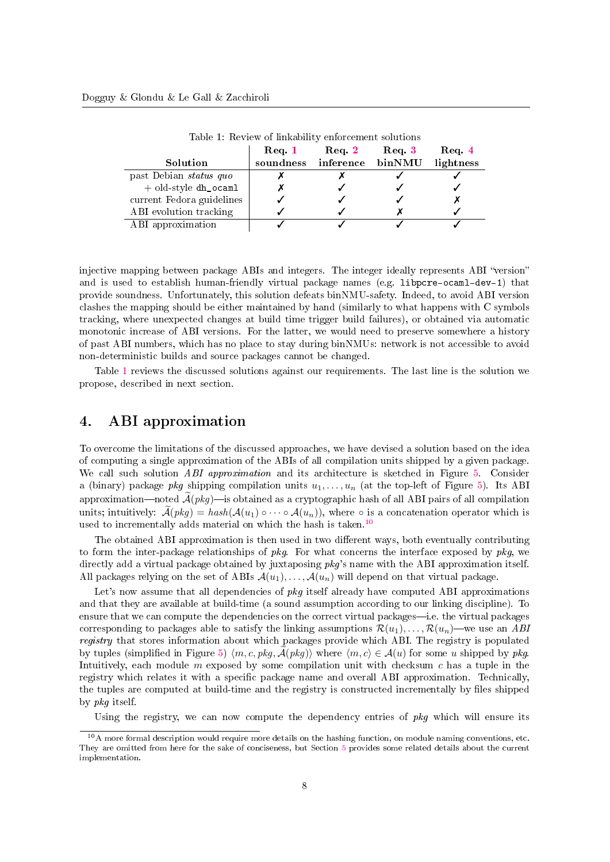|                           | $\bf{Req.1}$ | Req.2     | Req 3  | $\bf{Req}$ 4 |
|---------------------------|--------------|-----------|--------|--------------|
| Solution                  | soundness    | inference | binNMU | lightness    |
| past Debian status quo    |              |           |        |              |
| $+$ old-style dh_ocaml    |              |           |        |              |
| current Fedora guidelines |              |           |        |              |
| ABI evolution tracking    |              |           |        |              |
| ABI approximation         |              |           |        |              |

<span id="page-7-1"></span>Table 1: Review of linkability enforcement solutions

injective mapping between package ABIs and integers. The integer ideally represents ABI "version" and is used to establish human-friendly virtual package names (e.g. libpcre-ocaml-dev-1) that provide soundness. Unfortunately, this solution defeats binNMU-safety. Indeed, to avoid ABI version clashes the mapping should be either maintained by hand (similarly to what happens with C symbols tracking, where unexpected changes at build time trigger build failures), or obtained via automatic monotonic increase of ABI versions. For the latter, we would need to preserve somewhere a history of past ABI numbers, which has no place to stay during binNMUs: network is not accessible to avoid non-deterministic builds and source packages cannot be changed.

Table [1](#page-7-1) reviews the discussed solutions against our requirements. The last line is the solution we propose, described in next section.

## <span id="page-7-0"></span>4. ABI approximation

To overcome the limitations of the discussed approaches, we have devised a solution based on the idea of computing a single approximation of the ABIs of all compilation units shipped by a given package. We call such solution ABI approximation and its architecture is sketched in Figure [5.](#page-8-0) Consider a (binary) package pkg shipping compilation units  $u_1, \ldots, u_n$  (at the top-left of Figure [5\)](#page-8-0). Its ABI approximation—noted  $\tilde{\mathcal{A}}(pkq)$ —is obtained as a cryptographic hash of all ABI pairs of all compilation units; intuitively:  $\widetilde{A}(pkg) = hash(\mathcal{A}(u_1) \circ \cdots \circ \mathcal{A}(u_n))$ , where  $\circ$  is a concatenation operator which is used to incrementally adds material on which the hash is taken.<sup>[10](#page-7-2)</sup>

The obtained ABI approximation is then used in two different ways, both eventually contributing to form the inter-package relationships of  $pkg$ . For what concerns the interface exposed by  $pkg$ , we directly add a virtual package obtained by juxtaposing pkg's name with the ABI approximation itself. All packages relying on the set of ABIs  $\mathcal{A}(u_1), \ldots, \mathcal{A}(u_n)$  will depend on that virtual package.

Let's now assume that all dependencies of  $pkq$  itself already have computed ABI approximations and that they are available at build-time (a sound assumption according to our linking discipline). To ensure that we can compute the dependencies on the correct virtual packages—i.e. the virtual packages corresponding to packages able to satisfy the linking assumptions  $\mathcal{R}(u_1), \ldots, \mathcal{R}(u_n)$ —we use an ABI registry that stores information about which packages provide which ABI. The registry is populated by tuples (simplified in Figure [5\)](#page-8-0)  $\langle m, c, \gamma kg, \mathcal{A}(\gamma kg) \rangle$  where  $\langle m, c \rangle \in \mathcal{A}(u)$  for some u shipped by pkg. Intuitively, each module m exposed by some compilation unit with checksum  $c$  has a tuple in the registry which relates it with a specific package name and overall ABI approximation. Technically, the tuples are computed at build-time and the registry is constructed incrementally by files shipped by pkg itself.

Using the registry, we can now compute the dependency entries of pkg which will ensure its

<span id="page-7-2"></span> $10$ A more formal description would require more details on the hashing function, on module naming conventions, etc. They are omitted from here for the sake of conciseness, but Section [5](#page-9-0) provides some related details about the current implementation.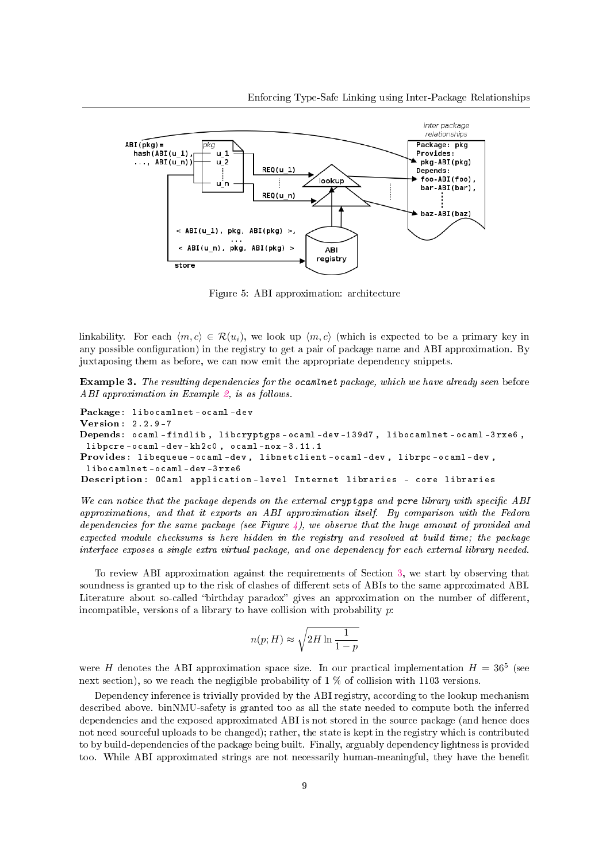

<span id="page-8-0"></span>Figure 5: ABI approximation: architecture

linkability. For each  $\langle m, c \rangle \in \mathcal{R}(u_i)$ , we look up  $\langle m, c \rangle$  (which is expected to be a primary key in any possible configuration) in the registry to get a pair of package name and ABI approximation. By juxtaposing them as before, we can now emit the appropriate dependency snippets.

<span id="page-8-1"></span>Example 3. The resulting dependencies for the ocaminet package, which we have already seen before ABI approximation in Example [2,](#page-3-1) is as follows.

```
Package: libocamlnet-ocaml-dev
Version: 2.2.9 -7
Depends: ocaml - findlib , libcryptgps - ocaml - dev -139 d7 , libocamlnet - ocaml -3 rxe6 ,
 libpcre - ocaml - dev - kh2c0 , ocaml - nox -3.11.1
Provides: libequeue - ocaml - dev , libnetclient - ocaml - dev , librpc - ocaml - dev ,
 libocamlnet - ocaml - dev -3 rxe6
Description: OCaml application - level Internet libraries - core libraries
```
We can notice that the package depends on the external cryptgps and pcre library with specific ABI approximations, and that it exports an ABI approximation itself. By comparison with the Fedora dependencies for the same package (see Figure [4\)](#page-6-2), we observe that the huge amount of provided and expected module checksums is here hidden in the registry and resolved at build time; the package interface exposes a single extra virtual package, and one dependency for each external library needed.

To review ABI approximation against the requirements of Section [3,](#page-5-0) we start by observing that soundness is granted up to the risk of clashes of different sets of ABIs to the same approximated ABI. Literature about so-called "birthday paradox" gives an approximation on the number of different, incompatible, versions of a library to have collision with probability  $p$ :

$$
n(p;H) \approx \sqrt{2H \ln \frac{1}{1-p}}
$$

were H denotes the ABI approximation space size. In our practical implementation  $H = 36^5$  (see next section), so we reach the negligible probability of  $1\%$  of collision with 1103 versions.

Dependency inference is trivially provided by the ABI registry, according to the lookup mechanism described above. binNMU-safety is granted too as all the state needed to compute both the inferred dependencies and the exposed approximated ABI is not stored in the source package (and hence does not need sourceful uploads to be changed); rather, the state is kept in the registry which is contributed to by build-dependencies of the package being built. Finally, arguably dependency lightness is provided too. While ABI approximated strings are not necessarily human-meaningful, they have the benefit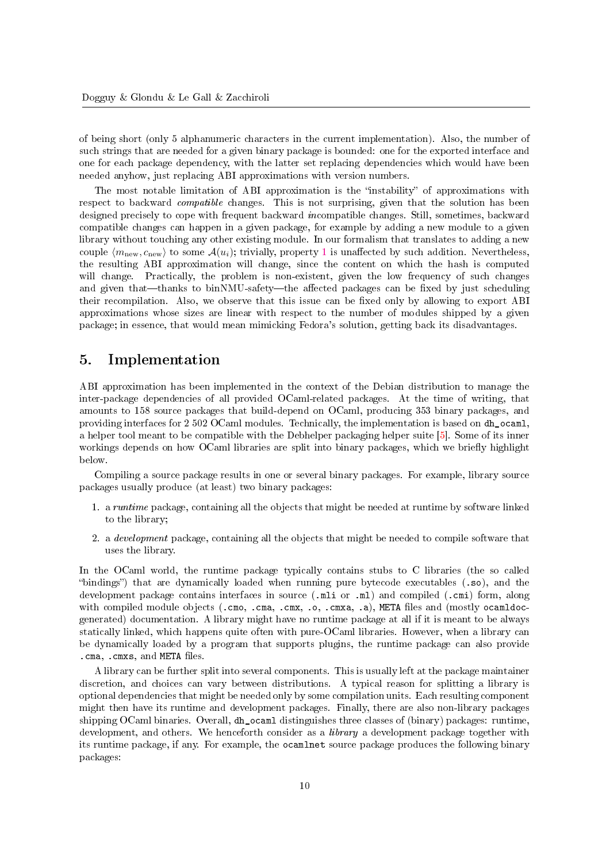of being short (only 5 alphanumeric characters in the current implementation). Also, the number of such strings that are needed for a given binary package is bounded: one for the exported interface and one for each package dependency, with the latter set replacing dependencies which would have been needed anyhow, just replacing ABI approximations with version numbers.

The most notable limitation of ABI approximation is the "instability" of approximations with respect to backward *compatible* changes. This is not surprising, given that the solution has been designed precisely to cope with frequent backward incompatible changes. Still, sometimes, backward compatible changes can happen in a given package, for example by adding a new module to a given library without touching any other existing module. In our formalism that translates to adding a new couple  $\langle m_{\text{new}}, c_{\text{new}} \rangle$  to some  $\mathcal{A}(u_i)$ ; trivially, property [1](#page-0-2) is unaffected by such addition. Nevertheless, the resulting ABI approximation will change, since the content on which the hash is computed will change. Practically, the problem is non-existent, given the low frequency of such changes and given that—thanks to binNMU-safety—the affected packages can be fixed by just scheduling their recompilation. Also, we observe that this issue can be fixed only by allowing to export ABI approximations whose sizes are linear with respect to the number of modules shipped by a given package; in essence, that would mean mimicking Fedora's solution, getting back its disadvantages.

## <span id="page-9-0"></span>5. Implementation

ABI approximation has been implemented in the context of the Debian distribution to manage the inter-package dependencies of all provided OCaml-related packages. At the time of writing, that amounts to 158 source packages that build-depend on OCaml, producing 353 binary packages, and providing interfaces for 2 502 OCaml modules. Technically, the implementation is based on dh\_ocaml, a helper tool meant to be compatible with the Debhelper packaging helper suite [\[5\]](#page-12-9). Some of its inner workings depends on how OCaml libraries are split into binary packages, which we briefly highlight below.

Compiling a source package results in one or several binary packages. For example, library source packages usually produce (at least) two binary packages:

- 1. a runtime package, containing all the objects that might be needed at runtime by software linked to the library;
- 2. a *development* package, containing all the objects that might be needed to compile software that uses the library.

In the OCaml world, the runtime package typically contains stubs to C libraries (the so called "bindings") that are dynamically loaded when running pure bytecode executables  $(.so)$ , and the development package contains interfaces in source (.ml i or .ml) and compiled (.cmi) form, along with compiled module objects (.cmo, .cma, .cmx, .o, .cmxa, .a), META files and (mostly ocamldocgenerated) documentation. A library might have no runtime package at all if it is meant to be always statically linked, which happens quite often with pure-OCaml libraries. However, when a library can be dynamically loaded by a program that supports plugins, the runtime package can also provide .cma, .cmxs, and META files.

A library can be further split into several components. This is usually left at the package maintainer discretion, and choices can vary between distributions. A typical reason for splitting a library is optional dependencies that might be needed only by some compilation units. Each resulting component might then have its runtime and development packages. Finally, there are also non-library packages shipping OCaml binaries. Overall, dh\_ocaml distinguishes three classes of (binary) packages: runtime, development, and others. We henceforth consider as a *library* a development package together with its runtime package, if any. For example, the ocamlnet source package produces the following binary packages: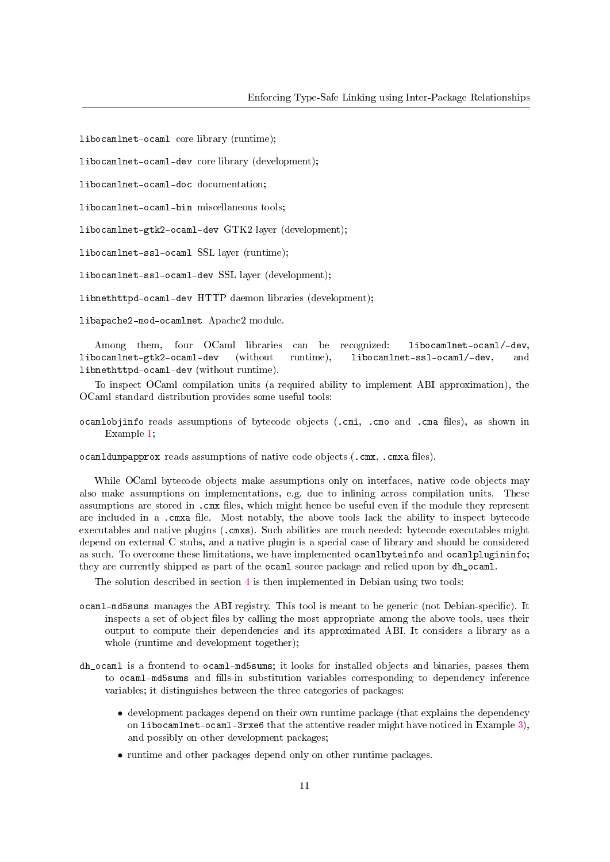libocamlnet-ocaml core library (runtime);

libocamlnet-ocaml-dev core library (development);

libocamlnet-ocaml-doc documentation;

libocamlnet-ocaml-bin miscellaneous tools;

libocamlnet-gtk2-ocaml-dev GTK2 layer (development);

libocamlnet-ssl-ocaml SSL layer (runtime);

libocamlnet-ssl-ocaml-dev SSL layer (development);

libnethttpd-ocaml-dev HTTP daemon libraries (development);

libapache2-mod-ocamlnet Apache2 module.

Among them, four OCaml libraries can be recognized: libocamlnet-ocaml/-dev libocamlnet-gtk2-ocaml-dev (without runtime), libocamlnet-ssl-ocaml/-dev, and libnethttpd-ocaml-dev (without runtime).

To inspect OCaml compilation units (a required ability to implement ABI approximation), the OCaml standard distribution provides some useful tools:

ocamlobjinfo reads assumptions of bytecode objects (.cmi, .cmo and .cma files), as shown in Example [1;](#page-1-1)

ocamldumpapprox reads assumptions of native code objects  $( .cmx, .cmxa files).$ 

While OCaml bytecode objects make assumptions only on interfaces, native code objects may also make assumptions on implementations, e.g. due to inlining across compilation units. These assumptions are stored in .cmx files, which might hence be useful even if the module they represent are included in a .cmxa file. Most notably, the above tools lack the ability to inspect bytecode executables and native plugins (.cmxs). Such abilities are much needed: bytecode executables might depend on external C stubs, and a native plugin is a special case of library and should be considered as such. To overcome these limitations, we have implemented ocamlbyteinfo and ocamlplugininfo; they are currently shipped as part of the ocaml source package and relied upon by dh\_ocaml.

The solution described in section [4](#page-7-0) is then implemented in Debian using two tools:

- ocaml-md5sums manages the ABI registry. This tool is meant to be generic (not Debian-specific). It inspects a set of object files by calling the most appropriate among the above tools, uses their output to compute their dependencies and its approximated ABI. It considers a library as a whole (runtime and development together);
- dh\_ocaml is a frontend to ocaml-md5sums; it looks for installed objects and binaries, passes them to ocaml-md5sums and fills-in substitution variables corresponding to dependency inference variables; it distinguishes between the three categories of packages:
	- development packages depend on their own runtime package (that explains the dependency on libocamlnet-ocaml-3rxe6 that the attentive reader might have noticed in Example [3\)](#page-8-1), and possibly on other development packages;
	- runtime and other packages depend only on other runtime packages.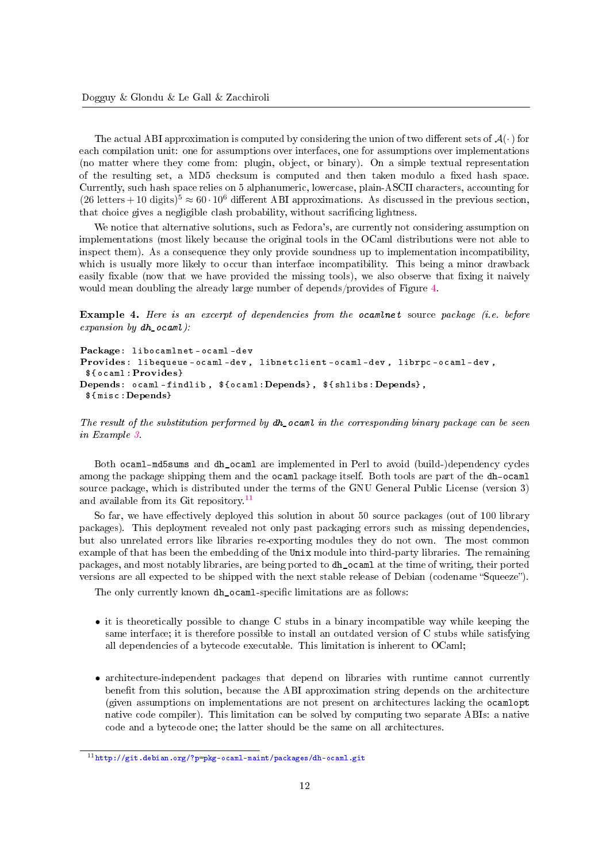The actual ABI approximation is computed by considering the union of two different sets of  $\mathcal{A}(\cdot)$  for each compilation unit: one for assumptions over interfaces, one for assumptions over implementations (no matter where they come from: plugin, object, or binary). On a simple textual representation of the resulting set, a MD5 checksum is computed and then taken modulo a fixed hash space. Currently, such hash space relies on 5 alphanumeric, lowercase, plain-ASCII characters, accounting for  $(26 \text{ letters} + 10 \text{ digits})^5 \approx 60 \cdot 10^6$  different ABI approximations. As discussed in the previous section, that choice gives a negligible clash probability, without sacrificing lightness.

We notice that alternative solutions, such as Fedora's, are currently not considering assumption on implementations (most likely because the original tools in the OCaml distributions were not able to inspect them). As a consequence they only provide soundness up to implementation incompatibility, which is usually more likely to occur than interface incompatibility. This being a minor drawback easily fixable (now that we have provided the missing tools), we also observe that fixing it naively would mean doubling the already large number of depends/provides of Figure [4.](#page-6-2)

Example 4. Here is an excerpt of dependencies from the ocaminet source package (i.e. before expansion by  $dh$  ocaml):

```
Package: libocamlnet - ocaml - dev
Provides: libequeue - ocaml - dev , libnetclient - ocaml - dev , librpc - ocaml - dev ,
 $ { ocaml :Provides}
Depends: ocaml-findlib, % \{c, d\} , Depends}, {\{shlibs:Depends\}},
 $ { misc :Depends}
```
The result of the substitution performed by dh ocaml in the corresponding binary package can be seen in Example [3.](#page-8-1)

Both ocaml-md5sums and dh\_ocaml are implemented in Perl to avoid (build-)dependency cycles among the package shipping them and the ocaml package itself. Both tools are part of the dh-ocaml source package, which is distributed under the terms of the GNU General Public License (version 3) and available from its Git repository.[11](#page-11-0)

So far, we have effectively deployed this solution in about 50 source packages (out of 100 library packages). This deployment revealed not only past packaging errors such as missing dependencies, but also unrelated errors like libraries re-exporting modules they do not own. The most common example of that has been the embedding of the Unix module into third-party libraries. The remaining packages, and most notably libraries, are being ported to dh\_ocaml at the time of writing, their ported versions are all expected to be shipped with the next stable release of Debian (codename "Squeeze").

The only currently known dh\_ocaml-specific limitations are as follows:

- it is theoretically possible to change C stubs in a binary incompatible way while keeping the same interface; it is therefore possible to install an outdated version of C stubs while satisfying all dependencies of a bytecode executable. This limitation is inherent to OCaml;
- architecture-independent packages that depend on libraries with runtime cannot currently benefit from this solution, because the ABI approximation string depends on the architecture (given assumptions on implementations are not present on architectures lacking the ocamlopt native code compiler). This limitation can be solved by computing two separate ABIs: a native code and a bytecode one; the latter should be the same on all architectures.

<span id="page-11-0"></span> $11$ <http://git.debian.org/?p=pkg-ocaml-maint/packages/dh-ocaml.git>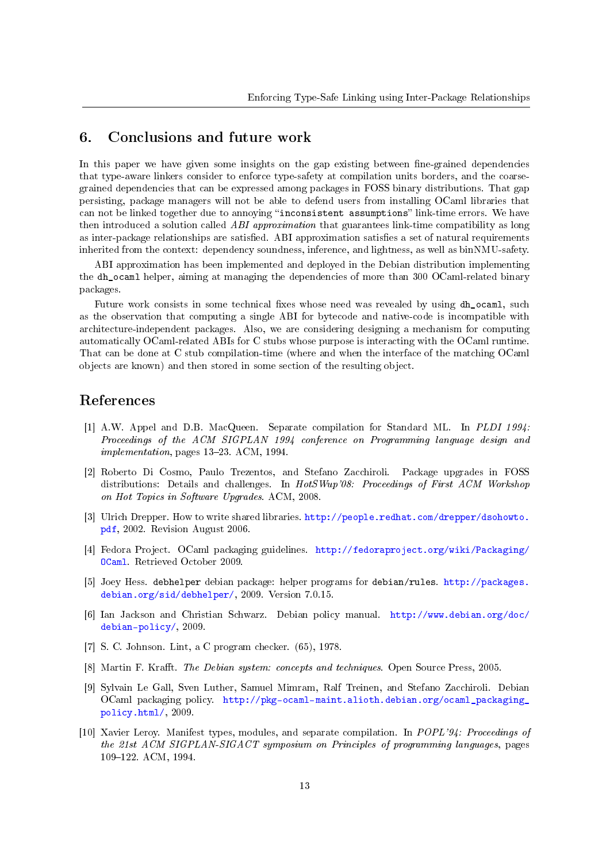### 6. Conclusions and future work

In this paper we have given some insights on the gap existing between fine-grained dependencies that type-aware linkers consider to enforce type-safety at compilation units borders, and the coarsegrained dependencies that can be expressed among packages in FOSS binary distributions. That gap persisting, package managers will not be able to defend users from installing OCaml libraries that can not be linked together due to annoying "inconsistent assumptions" link-time errors. We have then introduced a solution called ABI approximation that guarantees link-time compatibility as long as inter-package relationships are satisfied. ABI approximation satisfies a set of natural requirements inherited from the context: dependency soundness, inference, and lightness, as well as binNMU-safety.

ABI approximation has been implemented and deployed in the Debian distribution implementing the dh\_ocaml helper, aiming at managing the dependencies of more than 300 OCaml-related binary packages.

Future work consists in some technical fixes whose need was revealed by using dh\_ocaml, such as the observation that computing a single ABI for bytecode and native-code is incompatible with architecture-independent packages. Also, we are considering designing a mechanism for computing automatically OCaml-related ABIs for C stubs whose purpose is interacting with the OCaml runtime. That can be done at C stub compilation-time (where and when the interface of the matching OCaml objects are known) and then stored in some section of the resulting object.

#### References

- <span id="page-12-1"></span>[1] A.W. Appel and D.B. MacQueen. Separate compilation for Standard ML. In PLDI 1994: Proceedings of the ACM SIGPLAN 1994 conference on Programming language design and implementation, pages 13-23. ACM, 1994.
- <span id="page-12-3"></span>[2] Roberto Di Cosmo, Paulo Trezentos, and Stefano Zacchiroli. Package upgrades in FOSS distributions: Details and challenges. In HotSWup'08: Proceedings of First ACM Workshop on Hot Topics in Software Upgrades. ACM, 2008.
- <span id="page-12-6"></span>[3] Ulrich Drepper. How to write shared libraries. [http://people.redhat.com/drepper/dsohowto.](http://people.redhat.com/drepper/dsohowto.pdf) [pdf,](http://people.redhat.com/drepper/dsohowto.pdf) 2002. Revision August 2006.
- <span id="page-12-8"></span>[4] Fedora Project. OCaml packaging guidelines. [http://fedoraproject.org/wiki/Packaging/](http://fedoraproject.org/wiki/Packaging/OCaml) [OCaml.](http://fedoraproject.org/wiki/Packaging/OCaml) Retrieved October 2009.
- <span id="page-12-9"></span>[5] Joey Hess. debhelper debian package: helper programs for debian/rules. [http://packages.](http://packages.debian.org/sid/debhelper/) [debian.org/sid/debhelper/,](http://packages.debian.org/sid/debhelper/) 2009. Version 7.0.15.
- <span id="page-12-4"></span>[6] Ian Jackson and Christian Schwarz. Debian policy manual. [http://www.debian.org/doc/](http://www.debian.org/doc/debian-policy/) [debian-policy/,](http://www.debian.org/doc/debian-policy/) 2009.
- <span id="page-12-0"></span>[7] S. C. Johnson. Lint, a C program checker. (65), 1978.
- <span id="page-12-5"></span>[8] Martin F. Krafft. The Debian system: concepts and techniques. Open Source Press, 2005.
- <span id="page-12-7"></span>[9] Sylvain Le Gall, Sven Luther, Samuel Mimram, Ralf Treinen, and Stefano Zacchiroli. Debian OCaml packaging policy. [http://pkg-ocaml-maint.alioth.debian.org/ocaml\\_packaging\\_](http://pkg-ocaml-maint.alioth.debian.org/ocaml_packaging_policy.html/) [policy.html/,](http://pkg-ocaml-maint.alioth.debian.org/ocaml_packaging_policy.html/) 2009.
- <span id="page-12-2"></span>[10] Xavier Leroy. Manifest types, modules, and separate compilation. In POPL'94: Proceedings of the 21st ACM SIGPLAN-SIGACT symposium on Principles of programming languages, pages 109–122. ACM, 1994.